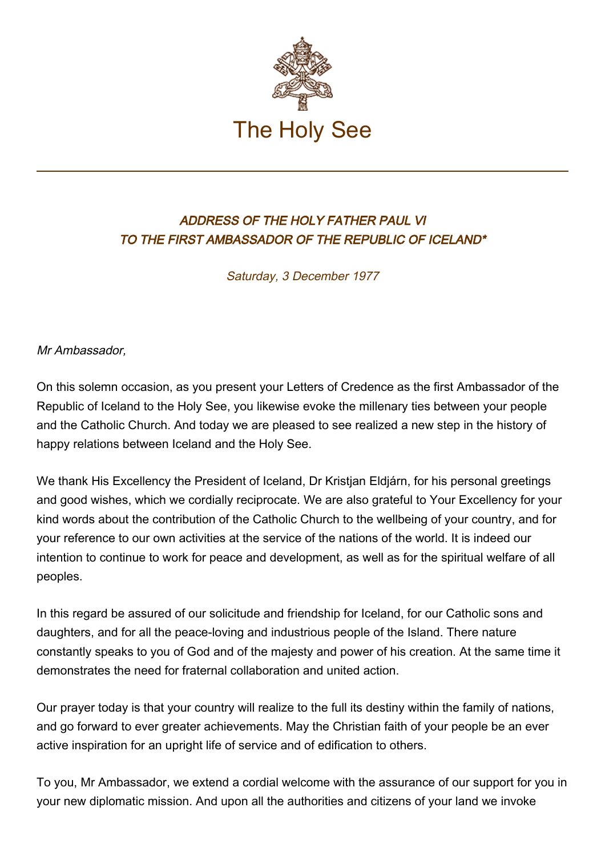

## ADDRESS OF THE HOLY FATHER PAUL VI TO THE FIRST AMBASSADOR OF THE REPUBLIC OF ICELAND\*

Saturday, 3 December 1977

Mr Ambassador,

On this solemn occasion, as you present your Letters of Credence as the first Ambassador of the Republic of Iceland to the Holy See, you likewise evoke the millenary ties between your people and the Catholic Church. And today we are pleased to see realized a new step in the history of happy relations between Iceland and the Holy See.

We thank His Excellency the President of Iceland, Dr Kristjan Eldjárn, for his personal greetings and good wishes, which we cordially reciprocate. We are also grateful to Your Excellency for your kind words about the contribution of the Catholic Church to the wellbeing of your country, and for your reference to our own activities at the service of the nations of the world. It is indeed our intention to continue to work for peace and development, as well as for the spiritual welfare of all peoples.

In this regard be assured of our solicitude and friendship for Iceland, for our Catholic sons and daughters, and for all the peace-loving and industrious people of the Island. There nature constantly speaks to you of God and of the majesty and power of his creation. At the same time it demonstrates the need for fraternal collaboration and united action.

Our prayer today is that your country will realize to the full its destiny within the family of nations, and go forward to ever greater achievements. May the Christian faith of your people be an ever active inspiration for an upright life of service and of edification to others.

To you, Mr Ambassador, we extend a cordial welcome with the assurance of our support for you in your new diplomatic mission. And upon all the authorities and citizens of your land we invoke